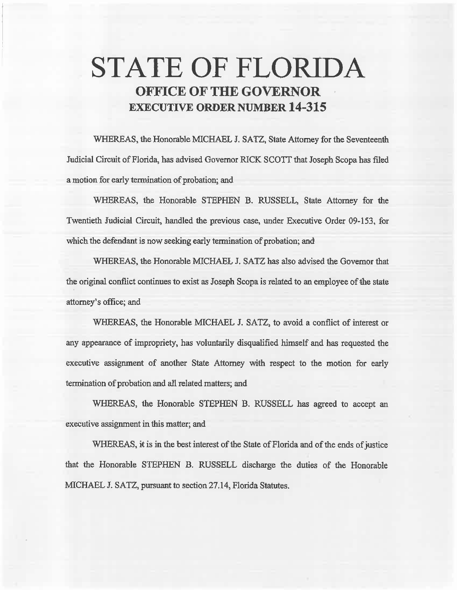# **STATE OF FLORIDA OFFICE OF THE GOVERNOR EXECUTIVE ORDER NUMBER 14-315**

WHEREAS, the Honorable MICHAEL J. SATZ, State Attorney for the Seventeenth Judicial Circuit of Florida, has advised Governor RICK SCOTT that Joseph Scopa has filed a motion for early termination of probation; and

WHEREAS, the Honorable STEPHEN B. RUSSELL, State Attorney for the Twentieth Judicial Circuit, handled the previous case, under Executive Order 09-153, for which the defendant is now seeking early termination of probation; and

WHEREAS, the Honorable MICHAEL J. SATZ has also advised the Governor that the original conflict continues to exist as Joseph Scopa is related to an employee of the state attomey'soffice;and

WHEREAS, the Honorable MICHAEL J. SATZ, to avoid a conflict of interest or any appearance of impropriety, has voluntarily disqualified himself and has requested the executive assignment of another State Attorney with respect to the motion for early termination of probation and atl related matters; and

WHEREAS, the Honorable STEPHEN B. RUSSELL has agreed to accept an executive assignment in this matter; and

WHEREAS, it is in the best interest of the State of Florida and of the ends of justice that the Honorable STEPHEN B. RUSSELL discharge the duties of the Honorable MICHAEL J. SATZ, pursuant to section 27.14, Florida Statutes.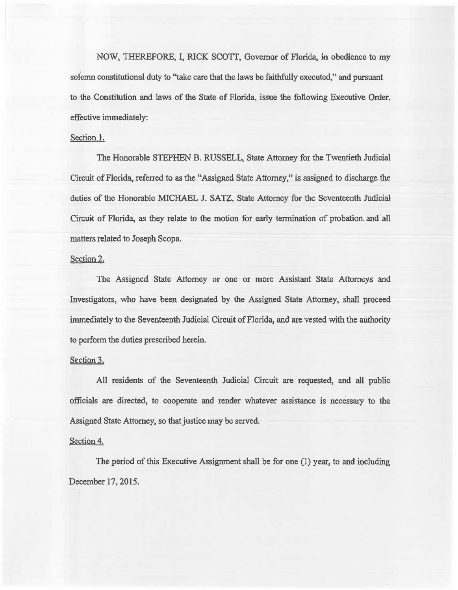NOW, THEREFORE, I, RICK SCOTT, Governor of Florida, in obedience to my solemn constitutional duty to "take care that the laws be faithfully executed," and pursuant to the Constitution and laws of the State of Florida, issue the following Executive Order, effective immediately:

## Section 1.

The Honorable STEPHEN B. RUSSELL, S1ate Attorney for the Twentieth Judicial Circuit of Florida, referred to as the "Assigned State Attorney," is assigned to discharge the duties of the Honorable MICHAEL J. SATZ, State Attorney for the Seventeenth Judicial Circuit of Florida, as they relate to the motion for early termination of probation and all matters related to Joseph Scopa

## Section 2.

The Assigned State Attorney or one or more Assistant State Attorneys and Investigators, who have been designated by the Assigned State Attorney, shall proceed immediately to the Seventeenth Judicial Circuit of Florida, and are vested with the authority to perform the duties prescribed herein.

### Section 3.

All residents of the Seventeenth Judicial Circuit are requested, and all public officials are directed, to cooperate and render whatever assistance is necessary to the Assigned State Attorney, so that justice may be served.

### Section 4.

The period of this Executive Assignment shall be for one (1) year, to and including December 17, 2015.